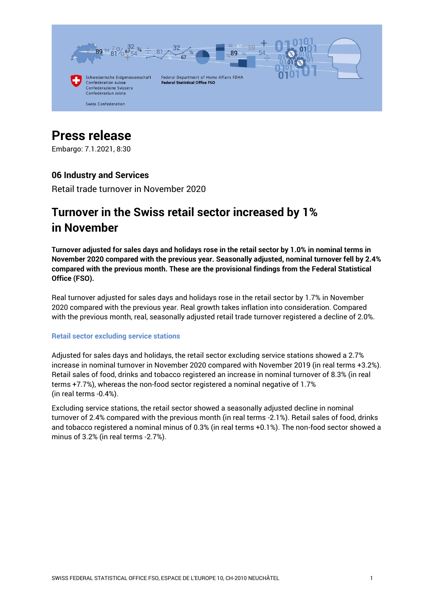

# **Press release**

Embargo: 7.1.2021, 8:30

## **06 Industry and Services**

Retail trade turnover in November 2020

## **Turnover in the Swiss retail sector increased by 1% in November**

**Turnover adjusted for sales days and holidays rose in the retail sector by 1.0% in nominal terms in November 2020 compared with the previous year. Seasonally adjusted, nominal turnover fell by 2.4% compared with the previous month. These are the provisional findings from the Federal Statistical Office (FSO).**

Real turnover adjusted for sales days and holidays rose in the retail sector by 1.7% in November 2020 compared with the previous year. Real growth takes inflation into consideration. Compared with the previous month, real, seasonally adjusted retail trade turnover registered a decline of 2.0%.

#### **Retail sector excluding service stations**

Adjusted for sales days and holidays, the retail sector excluding service stations showed a 2.7% increase in nominal turnover in November 2020 compared with November 2019 (in real terms +3.2%). Retail sales of food, drinks and tobacco registered an increase in nominal turnover of 8.3% (in real terms +7.7%), whereas the non-food sector registered a nominal negative of 1.7% (in real terms -0.4%).

Excluding service stations, the retail sector showed a seasonally adjusted decline in nominal turnover of 2.4% compared with the previous month (in real terms -2.1%). Retail sales of food, drinks and tobacco registered a nominal minus of 0.3% (in real terms +0.1%). The non-food sector showed a minus of 3.2% (in real terms -2.7%).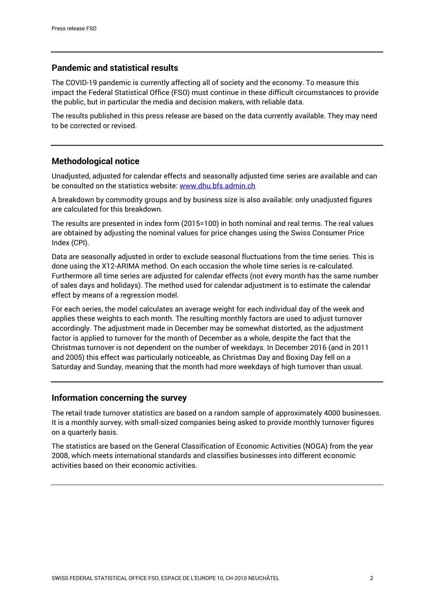## **Pandemic and statistical results**

The COVID-19 pandemic is currently affecting all of society and the economy. To measure this impact the Federal Statistical Office (FSO) must continue in these difficult circumstances to provide the public, but in particular the media and decision makers, with reliable data.

The results published in this press release are based on the data currently available. They may need to be corrected or revised.

## **Methodological notice**

Unadjusted, adjusted for calendar effects and seasonally adjusted time series are available and can be consulted on the statistics website[: www.dhu.bfs.admin.ch](https://www.bfs.admin.ch/bfs/en/home/statistics/industry-services/surveys/dhu.html)

A breakdown by commodity groups and by business size is also available: only unadjusted figures are calculated for this breakdown.

The results are presented in index form (2015=100) in both nominal and real terms. The real values are obtained by adjusting the nominal values for price changes using the Swiss Consumer Price Index (CPI).

Data are seasonally adjusted in order to exclude seasonal fluctuations from the time series. This is done using the X12-ARIMA method. On each occasion the whole time series is re-calculated. Furthermore all time series are adjusted for calendar effects (not every month has the same number of sales days and holidays). The method used for calendar adjustment is to estimate the calendar effect by means of a regression model.

For each series, the model calculates an average weight for each individual day of the week and applies these weights to each month. The resulting monthly factors are used to adjust turnover accordingly. The adjustment made in December may be somewhat distorted, as the adjustment factor is applied to turnover for the month of December as a whole, despite the fact that the Christmas turnover is not dependent on the number of weekdays. In December 2016 (and in 2011 and 2005) this effect was particularly noticeable, as Christmas Day and Boxing Day fell on a Saturday and Sunday, meaning that the month had more weekdays of high turnover than usual.

## **Information concerning the survey**

The retail trade turnover statistics are based on a random sample of approximately 4000 businesses. It is a monthly survey, with small-sized companies being asked to provide monthly turnover figures on a quarterly basis.

The statistics are based on the General Classification of Economic Activities (NOGA) from the year 2008, which meets international standards and classifies businesses into different economic activities based on their economic activities.